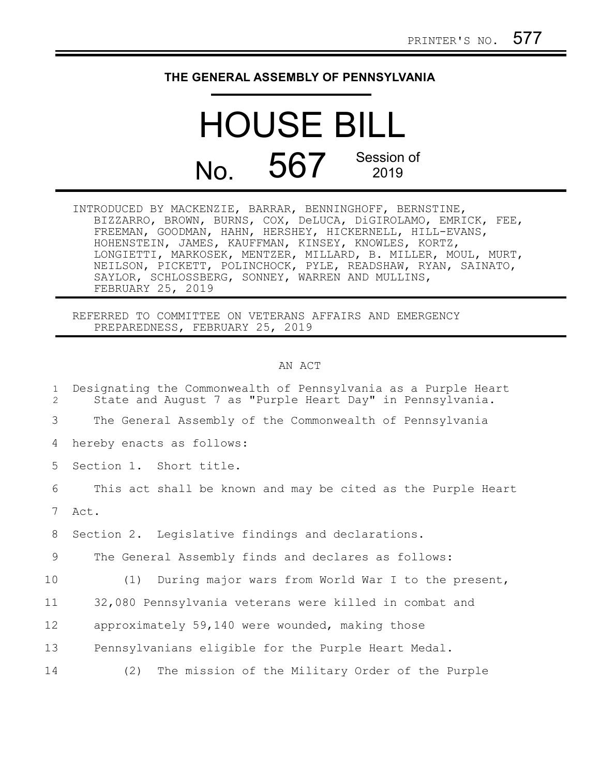## **THE GENERAL ASSEMBLY OF PENNSYLVANIA**

## HOUSE BILL No. 567 Session of

| INTRODUCED BY MACKENZIE, BARRAR, BENNINGHOFF, BERNSTINE,      |  |
|---------------------------------------------------------------|--|
| BIZZARRO, BROWN, BURNS, COX, DeLUCA, DiGIROLAMO, EMRICK, FEE, |  |
| FREEMAN, GOODMAN, HAHN, HERSHEY, HICKERNELL, HILL-EVANS,      |  |
| HOHENSTEIN, JAMES, KAUFFMAN, KINSEY, KNOWLES, KORTZ,          |  |
| LONGIETTI, MARKOSEK, MENTZER, MILLARD, B. MILLER, MOUL, MURT, |  |
| NEILSON, PICKETT, POLINCHOCK, PYLE, READSHAW, RYAN, SAINATO,  |  |
| SAYLOR, SCHLOSSBERG, SONNEY, WARREN AND MULLINS,              |  |
| FEBRUARY 25, 2019                                             |  |

REFERRED TO COMMITTEE ON VETERANS AFFAIRS AND EMERGENCY PREPAREDNESS, FEBRUARY 25, 2019

## AN ACT

| $\mathbf 1$<br>$\overline{2}$ | Designating the Commonwealth of Pennsylvania as a Purple Heart<br>State and August 7 as "Purple Heart Day" in Pennsylvania. |
|-------------------------------|-----------------------------------------------------------------------------------------------------------------------------|
| 3                             | The General Assembly of the Commonwealth of Pennsylvania                                                                    |
| 4                             | hereby enacts as follows:                                                                                                   |
| 5                             | Section 1. Short title.                                                                                                     |
| 6                             | This act shall be known and may be cited as the Purple Heart                                                                |
| $7\overline{ }$               | Act.                                                                                                                        |
| 8                             | Section 2. Legislative findings and declarations.                                                                           |
| 9                             | The General Assembly finds and declares as follows:                                                                         |
| 10                            | (1) During major wars from World War I to the present,                                                                      |
| 11                            | 32,080 Pennsylvania veterans were killed in combat and                                                                      |
| 12                            | approximately 59,140 were wounded, making those                                                                             |
| 13                            | Pennsylvanians eligible for the Purple Heart Medal.                                                                         |
| 14                            | The mission of the Military Order of the Purple<br>(2)                                                                      |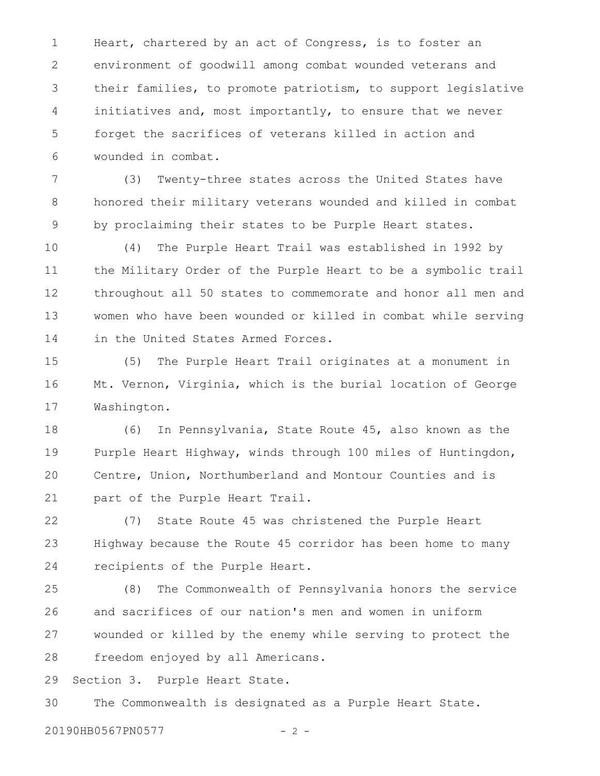Heart, chartered by an act of Congress, is to foster an environment of goodwill among combat wounded veterans and their families, to promote patriotism, to support legislative initiatives and, most importantly, to ensure that we never forget the sacrifices of veterans killed in action and wounded in combat. 1 2 3 4 5 6

(3) Twenty-three states across the United States have honored their military veterans wounded and killed in combat by proclaiming their states to be Purple Heart states. 7 8 9

(4) The Purple Heart Trail was established in 1992 by the Military Order of the Purple Heart to be a symbolic trail throughout all 50 states to commemorate and honor all men and women who have been wounded or killed in combat while serving in the United States Armed Forces. 10 11 12 13 14

(5) The Purple Heart Trail originates at a monument in Mt. Vernon, Virginia, which is the burial location of George Washington. 15 16 17

(6) In Pennsylvania, State Route 45, also known as the Purple Heart Highway, winds through 100 miles of Huntingdon, Centre, Union, Northumberland and Montour Counties and is part of the Purple Heart Trail. 18 19 20 21

(7) State Route 45 was christened the Purple Heart Highway because the Route 45 corridor has been home to many recipients of the Purple Heart. 22 23 24

(8) The Commonwealth of Pennsylvania honors the service and sacrifices of our nation's men and women in uniform wounded or killed by the enemy while serving to protect the freedom enjoyed by all Americans. 25 26 27 28

Section 3. Purple Heart State. 29

The Commonwealth is designated as a Purple Heart State. 30

20190HB0567PN0577 - 2 -